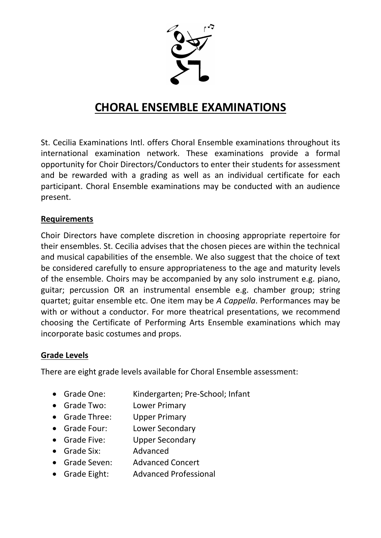

# **CHORAL ENSEMBLE EXAMINATIONS**

St. Cecilia Examinations Intl. offers Choral Ensemble examinations throughout its international examination network. These examinations provide a formal opportunity for Choir Directors/Conductors to enter their students for assessment and be rewarded with a grading as well as an individual certificate for each participant. Choral Ensemble examinations may be conducted with an audience present.

## **Requirements**

Choir Directors have complete discretion in choosing appropriate repertoire for their ensembles. St. Cecilia advises that the chosen pieces are within the technical and musical capabilities of the ensemble. We also suggest that the choice of text be considered carefully to ensure appropriateness to the age and maturity levels of the ensemble. Choirs may be accompanied by any solo instrument e.g. piano, guitar; percussion OR an instrumental ensemble e.g. chamber group; string quartet; guitar ensemble etc. One item may be *A Cappella*. Performances may be with or without a conductor. For more theatrical presentations, we recommend choosing the Certificate of Performing Arts Ensemble examinations which may incorporate basic costumes and props.

## **Grade Levels**

There are eight grade levels available for Choral Ensemble assessment:

- Grade One: Kindergarten; Pre-School; Infant
- Grade Two: Lower Primary
- Grade Three: Upper Primary
- Grade Four: Lower Secondary
- Grade Five: Upper Secondary
- Grade Six: Advanced
- Grade Seven: Advanced Concert
- Grade Eight: Advanced Professional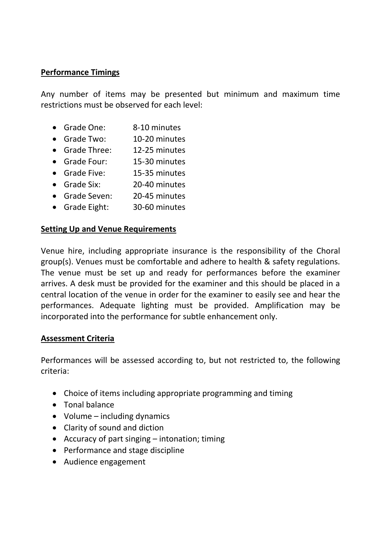## **Performance Timings**

Any number of items may be presented but minimum and maximum time restrictions must be observed for each level:

- Grade One: 8-10 minutes
- Grade Two: 10-20 minutes
- Grade Three: 12-25 minutes
- Grade Four: 15-30 minutes
- Grade Five: 15-35 minutes
- Grade Six: 20-40 minutes
- Grade Seven: 20-45 minutes
- Grade Eight: 30-60 minutes

#### **Setting Up and Venue Requirements**

Venue hire, including appropriate insurance is the responsibility of the Choral group(s). Venues must be comfortable and adhere to health & safety regulations. The venue must be set up and ready for performances before the examiner arrives. A desk must be provided for the examiner and this should be placed in a central location of the venue in order for the examiner to easily see and hear the performances. Adequate lighting must be provided. Amplification may be incorporated into the performance for subtle enhancement only.

#### **Assessment Criteria**

Performances will be assessed according to, but not restricted to, the following criteria:

- Choice of items including appropriate programming and timing
- Tonal balance
- Volume including dynamics
- Clarity of sound and diction
- Accuracy of part singing intonation; timing
- Performance and stage discipline
- Audience engagement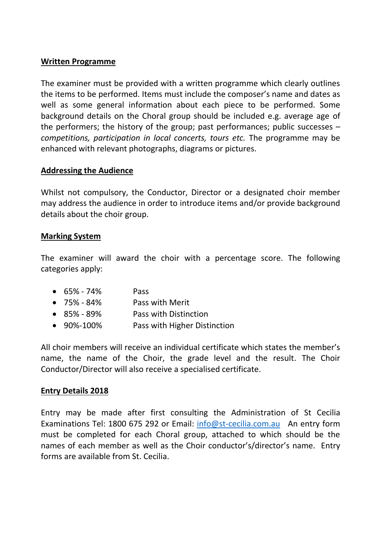#### **Written Programme**

The examiner must be provided with a written programme which clearly outlines the items to be performed. Items must include the composer's name and dates as well as some general information about each piece to be performed. Some background details on the Choral group should be included e.g. average age of the performers; the history of the group; past performances; public successes – *competitions, participation in local concerts, tours etc.* The programme may be enhanced with relevant photographs, diagrams or pictures.

## **Addressing the Audience**

Whilst not compulsory, the Conductor, Director or a designated choir member may address the audience in order to introduce items and/or provide background details about the choir group.

#### **Marking System**

The examiner will award the choir with a percentage score. The following categories apply:

| $\bullet$ 65% - 74% | <b>Pass</b>                  |
|---------------------|------------------------------|
| $\bullet$ 75% - 84% | Pass with Merit              |
| $\bullet$ 85% - 89% | Pass with Distinction        |
| $\bullet$ 90%-100%  | Pass with Higher Distinction |

All choir members will receive an individual certificate which states the member's name, the name of the Choir, the grade level and the result. The Choir Conductor/Director will also receive a specialised certificate.

## **Entry Details 2018**

Entry may be made after first consulting the Administration of St Cecilia Examinations Tel: 1800 675 292 or Email: [info@st-cecilia.com.au](mailto:info@st-cecilia.com.au) An entry form must be completed for each Choral group, attached to which should be the names of each member as well as the Choir conductor's/director's name. Entry forms are available from St. Cecilia.